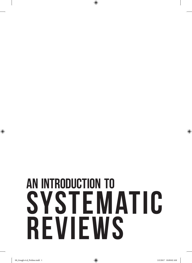# an introduction to systematic reviews

 $\bigoplus$ 

⊕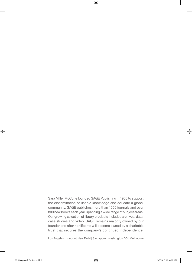Sara Miller McCune founded SAGE Publishing in 1965 to support the dissemination of usable knowledge and educate a global community. SAGE publishes more than 1000 journals and over 800 new books each year, spanning a wide range of subject areas. Our growing selection of library products includes archives, data, case studies and video. SAGE remains majority owned by our founder and after her lifetime will become owned by a charitable trust that secures the company's continued independence.

 $\bigoplus$ 

Los Angeles | London | New Delhi | Singapore | Washington DC | Melbourne

 $\bigoplus$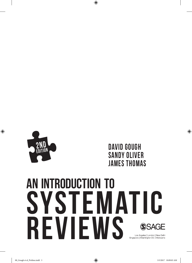## an introduction to systematic reviews **SSAGE** Los Angeles | London | New Delhi<br>Singapore | Washington DC | Melbourne

 $\bigoplus$ 



 $\bigoplus$ 

## David Gough Sandy Oliver James Thomas

 $\bigoplus$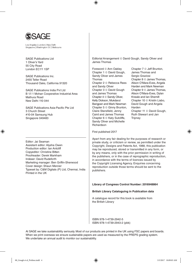

Los Angeles | London | New Delhi Singapore | Washington DC | Melbourne

SAGE Publications Ltd 1 Oliver's Yard 55 City Road London EC1Y 1SP

⊕

SAGE Publications Inc. 2455 Teller Road Thousand Oaks, California 91320

SAGE Publications India Pvt Ltd B 1/I 1 Mohan Cooperative Industrial Area Mathura Road New Delhi 110 044

SAGE Publications Asia-Pacific Pte Ltd 3 Church Street #10-04 Samsung Hub Singapore 049483

Editor: Jai Seaman Assistant editor: Alysha Owen Production editor: Ian Antcliff Copyeditor: Christine Bitten Proofreader: Derek Markham Indexer: David Rudeforth Marketing manager: Ben Griffin-Sherwood Cover design: Shaun Mercier Typeset by: C&M Digitals (P) Ltd, Chennai, India Printed in the UK

Editorial Arrangement © David Gough, Sandy Oliver and James Thomas

Foreword © Ann Oakley Chapter 1 © David Gough, Sandy Oliver and James Thomas Chapter 2 © Rebecca Rees and Sandy Oliver Chapter 3 © David Gough and James Thomas Chapter 4 © Sandy Oliver, Kelly Dickson, Mukdarut Bangpan and Mark Newman Chapter 5 © Ginny Brunton, Claire Stansfield, Jenny Caird and James Thomas Chapter 6 © Katy Sutcliffe, Sandy Oliver and Michelle **Richardson** 

Chapter  $7 \circledcirc$  Jeff Brunton, James Thomas and Sergio Graziosi Chapter 8  $\odot$  James Thomas, Alison O'Mara-Eves, Angela Harden and Mark Newman Chapter 9 © James Thomas, Alison O'Mara-Eves, Dylan Kneale and Ian Shemilt Chapter 10 © Kristin Liabo, David Gough and Angela Harden Chapter 11 © David Gough, Ruth Stewart and Jan **Tripney** 

First published 2017

Apart from any fair dealing for the purposes of research or private study, or criticism or review, as permitted under the Copyright, Designs and Patents Act, 1988, this publication may be reproduced, stored or transmitted in any form, or by any means, only with the prior permission in writing of the publishers, or in the case of reprographic reproduction, in accordance with the terms of licences issued by the Copyright Licensing Agency. Enquiries concerning reproduction outside those terms should be sent to the publishers.

#### **Library of Congress Control Number: 2016948864**

#### **British Library Cataloguing in Publication data**

A catalogue record for this book is available from the British Library

ISBN 978-1-4739-2942-5 ISBN 978-1-4739-2943-2 (pbk)

At SAGE we take sustainability seriously. Most of our products are printed in the UK using FSC papers and boards. When we print overseas we ensure sustainable papers are used as measured by the PREPS grading system. We undertake an annual audit to monitor our sustainability.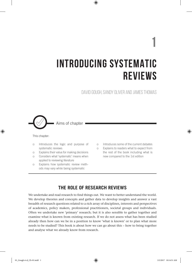## **1 INTRODUCING SYSTEMATIC REVIEWS**

⊕

David Gough, Sandy Oliver and James Thomas



#### This chapter:

♠

- { Introduces the logic and purpose of systematic reviews
- { Explains their value for making decisions
- { Considers what 'systematic' means when applied to reviewing literature
- { Explains how systematic review methods may vary while being systematic
- { Introduces some of the current debates
- { Explains to readers what to expect from the rest of the book including what is new compared to the 1st edition

## **THE ROLE OF RESEARCH REVIEWS**

We undertake and read research to find things out. We want to better understand the world. We develop theories and concepts and gather data to develop insights and answer a vast breadth of research questions related to a rich array of disciplines, interests and perspectives of academics, policy makers, professional practitioners, societal groups and individuals. Often we undertake new 'primary' research; but it is also sensible to gather together and examine what is known from existing research. If we do not assess what has been studied already then how can we be in a position to know 'what is known' or to plan what more needs to be studied? This book is about how we can go about this – how to bring together and analyse what we already know from research.

♠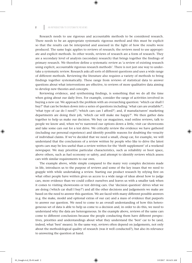Research needs to use rigorous and accountable methods to be considered research. There needs to be an appropriate systematic rigorous method and this must be explicit so that the results can be interpreted and assessed in the light of how the results were produced. The same logic applies to reviews of research; the reviews need to use appropriate and explicit methods. In other words, reviews of research are a form of research. They are a secondary level of analysis (secondary research) that brings together the findings of primary research. We therefore define a systematic review as 'a review of existing research using explicit, accountable rigorous research methods'. There is not just one way to undertake a systematic review. Research asks all sorts of different questions and uses a wide range of different methods. Reviewing the literature also requires a variety of methods to bring findings together systematically. These range from reviews of statistical data to answer questions about what interventions are effective, to reviews of more qualitative data aiming to develop new theories and concepts.

⊕

Reviewing evidence, and synthesising findings, is something that we do all the time when going about our daily lives. For example, consider the range of activities involved in buying a new car. We approach the problem with an overarching question: 'which car shall I buy?' that can be broken down into a series of questions including: 'what cars are available?'; 'what type of car do I need?'; 'which cars can I afford?'; and, if manufacturers' marketing departments are doing their job, 'which car will make me happy?'. We then gather data together to help us make our decision. We buy car magazines, read online reviews, talk to people we know and, when we've narrowed our options down a little, visit car showrooms and take some cars out for a test drive. We critically review the evidence we have gathered (including our personal experience) and identify possible reasons for doubting the veracity of individual claims. If we've decided that we need a small, cheap car, for example, we will understand that the conclusions of a review written by people who like to drive the latest sports cars may be less useful than a review written for the 'thrift supplement' of a weekend newspaper. We may prioritise particular characteristics, such as reliability or boot space, above others, such as fuel economy or safety, and attempt to identify reviews which assess cars with similar requirements to our own.

The example above, while simple compared to the many very complex decisions made in life, introduces us to the purpose of reviews and some of the key issues that we need to grapple with while undertaking a review. Starting our product research by relying first on what other people have written gives us access to a wide range of ideas about how to judge cars, more evidence than we could collect ourselves and leaves us with a smaller task when it comes to visiting showrooms or test driving cars. Our 'decision question' drives what we are doing ('which car shall I buy?') and all the other decisions and judgements we make are based on the need to answer this question. We are faced with many different possible answers (e.g. the make, model and optional extras of our car) and a mass of evidence that purports to answer our question. We need to come to an overall understanding of how this heterogeneous set of data is able to help us come to a decision and, in order to do this, we need to understand why the data are heterogeneous. In the example above, reviews of the same cars come to different conclusions because the people conducting them have different perspectives, priorities and understandings about what they understand the 'best' car to be (and, indeed, what 'best' means). In the same way, reviews often depend on judgements, not only about the methodological quality of research (was it well conducted?), but also its relevance to answering the question at hand.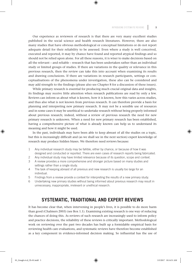### INTRODUCING SYSTEMATIC REVIEWS **3**

Our experience as reviewers of research is that there are very many excellent studies published in the social science and health research literatures. However, there are also many studies that have obvious methodological or conceptual limitations or do not report adequate detail for their reliability to be assessed. Even where a study is well conceived, executed and reported, it may by chance have found and reported atypical findings and so should not be relied upon alone. For all these reasons, it is wiser to make decisions based on all the relevant – and reliable – research that has been undertaken rather than an individual study or limited groups of studies. If there are variations in the quality or relevance in this previous research, then the review can take this into account when examining its results and drawing conclusions. If there are variations in research participants, settings or conceptualisations of the phenomena under investigation, these also can be considered and may add strength to the findings (please also see Chapter 8 for a discussion of these issues).

⊕

While primary research is essential for producing much crucial original data and insights, its findings may receive little attention when research publications are read by only a few. Reviews can inform us about what is known, how it is known, how this varies across studies, and thus also what is not known from previous research. It can therefore provide a basis for planning and interpreting new primary research. It may not be a sensible use of resources and in some cases it may be unethical to undertake research without being properly informed about previous research; indeed, without a review of previous research the need for new primary research is unknown. When a need for new primary research has been established, having a comprehensive picture of what is already known can help us to understand its meaning and how it might be used.

In the past, individuals may have been able to keep abreast of all the studies on a topic, but this is increasingly difficult and (as we shall see in the next section) expert knowledge of research may produce hidden biases. We therefore need reviews because:

- 1 Any individual research study may be fallible, either by chance, or because of how it was designed and conducted or reported. There are even cases of research reports being fabricated.
- 2 Any individual study may have limited relevance because of its question, scope and context.
- 3 A review provides a more comprehensive and stronger picture based on many studies and settings rather than a single study.
- 4 The task of keeping abreast of all previous and new research is usually too large for an individual.
- 5 Findings from a review provide a context for interpreting the results of a new primary study.
- 6 Undertaking new primary studies without being informed about previous research may result in unnecessary, inappropriate, irrelevant or unethical research.

## **SYSTEMATIC, TRADITIONAL AND EXPERT REVIEWS**

It has become clear that, when intervening in people's lives, it is possible to do more harm than good (Chalmers 2003) (see Box 1.1). Examining existing research is one way of reducing the chances of doing this. As reviews of such research are increasingly used to inform policy and practice decisions, the reliability of these reviews is critically important. Methodological work on reviewing over the past two decades has built up a formidable empirical basis for reviewing health care evaluations, and systematic reviews have therefore become established as a key component in evidence-informed decision making. So influential has the use of

01\_Gough et al\_Ch-01.indd 3 3/3/2017 10:14:51 AM

♠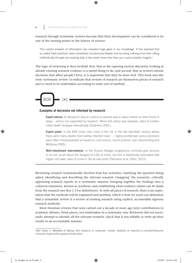research through systematic reviews become that their development can be considered to be one of the turning points in the history of science:

⊕

This careful analysis of information has revealed huge gaps in our knowledge. It has exposed that so-called 'best practices' were sometimes murderously flawed; and by doing nothing more than sifting methodically through pre-existing data it has saved more lives than you could possibly imagine.<sup>1</sup>

The logic of reviewing is thus twofold: first, that as the opening section discussed, looking at already existing research evidence is a useful thing to do; and second, that as reviews inform decisions that affect people's lives, it is important that they be done well. This book uses the term 'systematic review' to indicate that reviews of research are themselves pieces of research and so need to be undertaken according to some sort of method.

## **Examples of decisions not informed by research**

 $1 - 1$ 

BOX

⊕

**Expert advice**: Dr Benjamin Spock's advice to parents was to place infants on their fronts to sleep – advice not supported by research. When this policy was reversed, rates of sudden infant death dropped dramatically (Chalmers 2001).

**Expert panel**: In the BSE (mad cow) crisis in the UK in the late twentieth century where there were many deaths from eating infected meat, '... highly problematic policy decisions were often misrepresented as based on, and only on, sound science' (van Zwanenberg and Millstone 2005).

**Well-intentioned interventions**: In the Scared Straight programme criminals give lectures to 'at risk' youth about the dangers of a life of crime, but this is statistically associated with higher not lower rates of crime in the at-risk youth (Petrosino et al. 2002, 2013).

Reviewing research systematically involves four key activities: clarifying the question being asked; identifying and describing the relevant research ('mapping' the research); critically appraising research reports in a systematic manner, bringing together the findings into a coherent statement, known as synthesis; and establishing what evidence claims can be made from the research (see Box 1.2 for definitions). As with all pieces of research, there is an expectation that the methods will be explained and justified, which is how we reach our definition that a systematic review is a review of existing research using explicit, accountable rigorous research methods.

Most literature reviews that were carried out a decade or more ago were contributions to academic debates, think pieces, not undertaken in a systematic way. Reviewers did not necessarily attempt to identify all the relevant research, check that it was reliable or write up their results in an accountable manner.

<sup>1</sup> BBC Radio 4, *Moments of Genius*: Ben Goldacre on systematic reviews. Available at: www.bbc.co.uk/radio4/features/ moments-of-genius/ben-goldacre/index.shtml.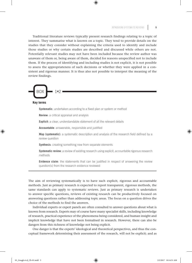### INTRODUCING SYSTEMATIC REVIEWS **5**

Traditional literature reviews typically present research findings relating to a topic of interest. They summarise what is known on a topic. They tend to provide details on the studies that they consider without explaining the criteria used to identify and include those studies or why certain studies are described and discussed while others are not. Potentially relevant studies may not have been included because the review author was unaware of them or, being aware of them, decided for reasons unspecified not to include them. If the process of identifying and including studies is not explicit, it is not possible to assess the appropriateness of such decisions or whether they were applied in a consistent and rigorous manner. It is thus also not possible to interpret the meaning of the review findings.

⊕

## $1\square$ BOX

#### **Key terms**

♠

**Systematic**: undertaken according to a fixed plan or system or method

**Review**: a critical appraisal and analysis

**Explicit**: a clear, understandable statement of all the relevant details

**Accountable**: answerable, responsible and justified

**Map (systematic)**: a systematic description and analysis of the research field defined by a review question

**Synthesis**: creating something new from separate elements

**Systematic review**: a review of existing research using explicit, accountable rigorous research methods

**Evidence claim**: the statements that can be justified in respect of answering the review question(s) from the research evidence reviewed

The aim of reviewing systematically is to have such explicit, rigorous and accountable methods. Just as primary research is expected to report transparent, rigorous methods, the same standards can apply to systematic reviews. Just as primary research is undertaken to answer specific questions, reviews of existing research can be productively focused on answering questions rather than addressing topic areas. The focus on a question drives the choice of the methods to find the answers.

Individual experts or expert panels are often consulted to answer questions about what is known from research. Experts may of course have many specialist skills, including knowledge of research, practical experience of the phenomena being considered, and human insight and implicit knowledge that have not been formalised in research. However, there can also be dangers from this richness of knowledge not being explicit.

One danger is that the experts' ideological and theoretical perspectives, and thus the conceptual framework determining their assessment of the research, will not be explicit; and as

01\_Gough et al\_Ch-01.indd 5 3/3/2017 10:14:51 AM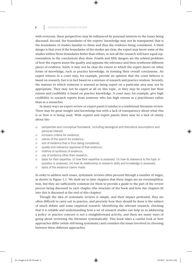with everyone, these perspectives may be influenced by personal interests in the issues being discussed. Second, the boundaries of the experts' knowledge may not be transparent; that is the boundaries of studies familiar to them and thus the evidence being considered. A third danger is that even if the boundaries of the studies are clear, the expert may know some of the studies within those boundaries better than others, so not all the research will have equal representation in the conclusions they draw. Fourth and fifth dangers are the related problems of how the experts assess the quality and appraise the relevance and then synthesise different pieces of evidence. Sixth, it may not be clear the extent to which the expert draws on other forms of knowledge, such as practice knowledge, in forming their overall conclusions. An expert witness in a court may, for example, provide an opinion that the court believes is based on research, but is in fact based on a mixture of research and practice wisdom. Seventh, the manner in which someone is assessed as being expert on a particular area may not be appropriate. They may not be expert at all on this topic, or they may be expert but their esteem and credibility is based on practice knowledge. A court may, for example, give high credibility to research reports from someone who has high esteem as a practitioner rather than as a researcher.

⊕

In many ways an expert review or expert panel is similar to a traditional literature review. There may be great insight and knowledge but with a lack of transparency about what this is or how it is being used. With experts and expert panels there may be a lack of clarity about the:

- { perspective and conceptual framework, including ideological and theoretical assumptions and personal interest;
- $\circ$  inclusion criteria for evidence:
- $\circ$  nature of the search for evidence:
- o sort of evidence that is thus being considered;
- $\circ$  quality and relevance appraisal of that evidence;
- ${\circ}$  method of synthesis of evidence;
- $\circ$  use of evidence other than research:
- { basis for their expertise: (i) how their expertise is assessed, (ii) how its relevance to the topic in question is assessed, (iii) how its relationship to research skills and knowledge is assessed;
- basis of the evidence claims made.

In order to address such issues, systematic reviews often proceed through a number of stages, as shown in Figure 1.1. We shall see in later chapters that these stages are an oversimplification, but they are sufficiently common for them to provide a guide to the part of the review process being discussed in each chapter (the structure of the book and how the chapters fit into this is discussed at the end of this chapter).

Though the idea of systematic reviews is simple, and their impact profound, they are often difficult to carry out in practice, and precisely how they should be done is the subject of much debate and some empirical research. Identifying the relevant research, checking that it is reliable and understanding how a set of research studies can help us in addressing a policy or practice concern is not a straightforward activity, and there are many ways of going about reviewing the literature systematically. This book takes a careful look at how approaches differ (while still being systematic) and considers the issues involved in choosing between these different approaches.

⊕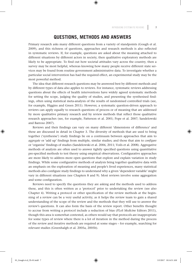## **QUESTIONS, METHODS AND ANSWERS**

⊕

Primary research asks many different questions from a variety of standpoints (Gough et al. 2009), and this richness of questions, approaches and research methods is also reflected in systematic reviews. If, for example, questions are asked about the meaning attached to different situations by different actors in society, then qualitative exploratory methods are likely to be appropriate. To find out how societal attitudes vary across the country, then a survey may be most helpful, whereas knowing how many people receive different state services may be found from routine government administrative data. To investigate whether a particular social intervention has had the required effect, an experimental study may be the most powerful method.

The idea that different research questions may be answered best by different methods and by different types of data also applies to reviews. For instance, systematic reviews addressing questions about the effects of health interventions have widely agreed systematic methods for setting the scope, judging the quality of studies, and presenting the synthesised findings, often using statistical meta-analysis of the results of randomised controlled trials (see, for example, Higgins and Green 2011). However, a systematic question-driven approach to reviews can apply equally to research questions of process or of meaning that are addressed by more qualitative primary research and by review methods that reflect those qualitative research approaches (see, for example, Patterson et al. 2001; Pope et al. 2007; Sandelowski and Barroso 2007)*.*

Reviews and their findings can vary on many different 'dimensions of difference' and these are discussed in detail in Chapter 3. The diversity of methods that are used to bring together ('synthesise') study findings lie on a continuum between approaches that aim to *aggregate* or 'add up' findings from multiple, similar studies; and those that aim to *configure* or 'organise' findings of studies (Sandelowski et al. 2006, 2011; Voils et al. 2008). Aggregative methods of analysis are often used to answer tightly specified questions using quantitative pre-specified methods to test theory using empirical observations. Configurative approaches are more likely to address more open questions that explore and explain variation in study findings. While some configurative methods of analysis bring together qualitative data with an emphasis on the exploration of meaning and people's lived experiences, many statistical methods also configure study findings to understand why a given 'dependent variable' might vary in different situations (see Chapters 8 and 9). Most reviews involve some aggregation and some configuration.

Reviews need to specify the questions they are asking and the methods used to address these, and this is often written as a 'protocol' prior to undertaking the review (see also Chapter 4). Writing a protocol or other specification of the review methods at the beginning of a review can be a very useful activity, as it helps the review team to gain a shared understanding of the scope of the review and the methods that they will use to answer the review's questions. It can also form the basis of the review report. Other benefits thought to accrue from writing a protocol include a reduction of bias (*PLoS Medicine* Editors 2011), though this area is somewhat contested, as others would say that protocols are inappropriate for some types of review where there is a lot of iteration in the method during the process of the review and iterative methods are required at some stages – for example, searching for relevant studies (Greenhalgh et al. 2005a, 2005b).

♠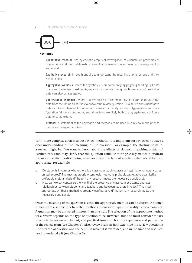## $1$  $\blacksquare$ 3 **BOX**

## **Key terms**

**Quantitative research**: the systematic empirical investigation of quantitative properties of phenomena and their relationships. Quantitative research often involves measurement of some kind.

⊕

**Qualitative research:** in-depth enquiry to understand the meaning of phenomena and their relationships.

**Aggregative synthesis**: where the synthesis is predominantly aggregating (adding up) data to answer the review question. Aggregation commonly uses quantitative data but qualitative data can also be aggregated.

**Configurative synthesis:** where the synthesis is predominantly configuring (organising) data from the included studies to answer the review question. Qualitative and quantitative data can be configured to understand variation in study findings. Aggregation and configuration fall on a continuum, and all reviews are likely both to aggregate and configure data to some extent.

**Protocol**: a statement of the approach and methods to be used in a review made prior to the review being undertaken.

With these complex choices about review methods, it is important for reviewers to have a clear understanding of the 'meaning' of the question. For example, the starting point for a review might be, 'We want to know about the effects of classroom teaching assistants'. Further discussion may clarify that this question could be more precisely framed to indicate the more specific question being asked and then the type of synthesis that would be most appropriate, for example:

- { 'Do students in classes where there is a classroom teaching assistant get higher or lower scores on test scores?' The most appropriate synthesis method is probably aggregative quantitative, preferably meta-analysis (if the primary research meets the necessary conditions).
- { 'How can we conceptualise the way that the presence of classroom assistants changes relationships between students and teachers and between teachers in class?' The most appropriate synthesis method is probably configurative (if the primary research meets the necessary conditions).

Once the meaning of the question is clear, the appropriate method can be chosen. Although it may seem a simple task to match methods to question types, the reality is more complex. A question may be answered in more than one way. The selection of the appropriate method for a review depends on the type of question to be answered, but also must consider the use to which the review will be put, and practical issues, such as the experience and perspective of the review team (see Chapter 4). Also, reviews vary in how extensive the review question is (the breadth of question and the depth in which it is examined) and in the time and resources used to undertake it (see Chapter 3).

♠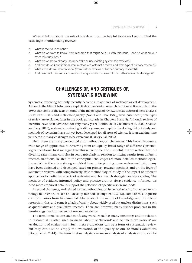When thinking about the role of a review, it can be helpful to always keep in mind the basic logic of undertaking reviews:

⊕

- { What is the issue at hand?
- { What do we want to know (from research that might help us with this issue and so what are our research questions)?
- { What do we know already (so undertake or use existing systematic reviews)?
- $\circ$  And how do we know it (from what methods of systematic review and what type of primary research)?
- { What more do we want to know (from further reviews or further primary research)?
- { And how could we know it (how can the systematic reviews inform further research strategies)?

## **CHALLENGES OF, AND CRITIQUES OF, SYSTEMATIC REVIEWING**

Systematic reviewing has only recently become a major area of methodological development. Although the idea of being more explicit about reviewing research is not new, it was only in the 1980s that some of the texts on some of the major types of review, such as statistical meta-analysis (Glass et al. 1981) and meta-ethnography (Noblit and Hare 1988), were published (these types of review are explained later in the book, particularly in Chapters 3 and 8). Although reviews of literature have been advocated for very many years (Bohlin 2012; Chalmers et al. 2002; Shadish and Lecy 2015), systematic reviewing is still a young and rapidly developing field of study and methods of reviewing have not yet been developed for all areas of science. It is an exciting time yet there are many challenges to be overcome (Oakley et al. 2005).

First, there are many conceptual and methodological challenges. This book discusses a wide range of approaches to reviewing from an equally broad range of different epistemological positions. In it we argue that this range of methods is useful, but we realise that this diversity raises many complex issues, particularly in relation to mixing results from different research traditions. Related to the conceptual challenges are more detailed methodological issues. While there is a strong empirical base underpinning some review methods, many have been designed and developed based on primary research methods and on the logic of systematic reviews, with comparatively little methodological study of the impact of different approaches to particular aspects of reviewing – such as search strategies and data coding. The methods of evidence-informed policy and practice are not always evidence informed; we need more empirical data to support the selection of specific review methods.

A second challenge, and related to the methodological issue, is the lack of an agreed terminology to describe, discuss and develop methods (Gough et al. 2012). Some of this linguistic confusion arises from fundamental debates about the nature of knowledge and the role of research in this; and some is a lack of clarity about widely used but unclear distinctions, such as quantitative and qualitative research. There are, however, many further problems in the terminology used for reviews of research evidence.

The term 'meta' is one such confusing word. Meta has many meanings and in relation to research it is often used to mean 'about' or 'beyond' and so 'meta-evaluations' are 'evaluations of evaluations'. Such meta-evaluations can be a form of systematic review, but they can also be simply the evaluation of the quality of one or more evaluations (Gough et al. 2014). The term 'meta-analysis' can mean analysis of analysis and so can be

♠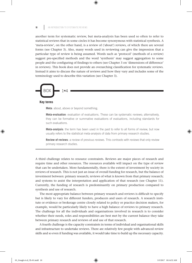another term for systematic review, but meta-analysis has been used so often to refer to statistical reviews that in some circles it has become synonymous with statistical synthesis. A 'meta-review', on the other hand, is a review of ('about') reviews, of which there are several forms (see Chapter 3). Also, many words used in reviewing can give the impression that a particular type of review is being assumed. Words such as 'protocol' (methods of a review) suggest pre-specified methods and the word 'synthesis' may suggest aggregation to some people and the configuring of findings to others (see Chapter 3 on 'dimensions of difference' in reviews). This book does not provide an overarching classification for systematic reviews. Instead it aims to discuss the nature of reviews and how they vary and includes some of the terminology used to describe this variation (see Chapter 3).

⊕



#### **Key terms**

♠

**Meta**: about, above or beyond something.

**Meta-evaluation**: evaluation of evaluations. These can be systematic reviews; alternatively, they can be formative or summative evaluations of evaluations, including standards for such evaluations.

**Meta-analysis**: the term has been used in the past to refer to all forms of review, but now usually refers to the statistical meta-analysis of data from primary research studies.

**Review of reviews**: a review of previous reviews. This contrasts with reviews that only review primary research studies.

A third challenge relates to resource constraints. Reviews are major pieces of research and require time and other resources. The resources available will impact on the type of review that can be undertaken. More fundamentally, there is the extent of investment by society in reviews of research. This is not just an issue of overall funding for research, but the balance of investment between: primary research; reviews of what is known from that primary research; and systems to assist the interpretation and application of that research (see Chapter 11). Currently, the funding of research is predominantly on primary production compared to synthesis and use of research.

The most appropriate balance between primary research and reviews is difficult to specify but is likely to vary for different funders, producers and users of research. A research institute or evidence or brokerage centre closely related to policy or practice decision makers, for example, would be particularly likely to have a high balance of reviews to primary research. The challenge for all the individuals and organisations involved in research is to consider whether their needs, roles and responsibilities are best met by the current balance they take between primary research and reviews of and use of that research.

A fourth challenge is the capacity constraints in terms of individual and organisational skills and infrastructure to undertake reviews. There are relatively few people with advanced review skills and so even if funding was available, it would take time to build up the necessary capacity.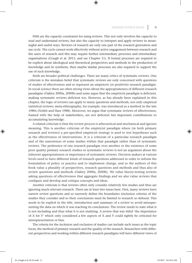## INTRODUCING SYSTEMATIC REVIEWS **11**

Fifth are the capacity constraints for using reviews. This not only involves the capacity to read and understand reviews, but also the capacity to interpret and apply reviews in meaningful and useful ways. Reviews of research are only one part of the research generation and use cycle. The cycle cannot work effectively without active engagement between research and the users of research and this may require further intermediary processes and intermediary organisations (Gough et al. 2011; and see Chapter 11). If formal processes are required to be explicit about ideological and theoretical perspectives and methods in the production of knowledge and its synthesis, then maybe similar processes are also required to support the use of such knowledge.

⊕

Sixth are broader political challenges. There are many critics of systematic reviews. One criticism is the mistaken belief that systematic reviews are only concerned with questions of studies of effectiveness and so represent an empiricist (or positivist) research paradigm. In social science there are often strong views about the appropriateness of different research paradigms (Oakley 2000a, 2000b) and some argue that the empiricist paradigm is deficient, making systematic reviews deficient too. However, as has already been explained in this chapter, the logic of reviews can apply to many questions and methods, not only empirical statistical reviews; meta-ethnography, for example, was introduced as a method in the late 1980s (Noblit and Hare 1988). Moreover, we argue that systematic reviews of effectiveness, framed with the help of stakeholders, are not deficient but important contributions to accumulating knowledge.

A related criticism is that the review process is atheoretical and mechanical and ignores meaning. This is another criticism of the empiricist paradigm where (in both primary research and reviews) a pre-specified empiricist strategy is used to test hypotheses such as the effectiveness of interventions. It is a criticism of a particular research paradigm and of the narrowness of some studies within that paradigm rather than of systematic reviews. The preference of one research paradigm over another or the existence of some poor quality primary research studies or systematic reviews is not an argument about the inherent appropriateness or importance of systematic reviews. Decision makers at various levels need to have different kinds of research questions addressed in order to inform the formulation of policy or practice and to implement change, and so the authors of this book value a plurality of perspectives, research questions and methods and thus also of review questions and methods (Oakley 2000a, 2000b). We value theory-testing reviews asking questions of effectiveness that aggregate findings and we also value reviews that configure and develop and critique concepts and ideas.

Another criticism is that reviews often only consider relatively few studies and thus are ignoring much relevant research. There are at least two issues here. First, many reviews have narrow review questions and so narrowly define the boundaries (inclusion criteria) of the studies they consider and so their conclusions must be limited to research so defined. This needs to be explicit in the title, introduction and summary of a review to avoid misrepresenting the data on which it was reaching its conclusions. The review needs to state what it is not including and thus what it is not studying. A review that was titled 'the importance of X for Y' which only considered a few aspects of X and Y could rightly be criticised for misrepresentation or bias.

The criteria for the inclusion and exclusion of studies can include such issues as the topic focus, the method of primary research and the quality of the research. Researchers with different perspectives and working within different research paradigms will have different views of

♠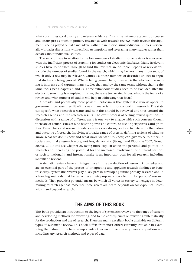what constitutes good quality and relevant evidence. This is the nature of academic discourse and occurs just as much in primary research as with research reviews. With reviews the argument is being played out at a meta-level rather than in discussing individual studies. Reviews allow broader discussions with explicit assumptions and leveraging many studies rather than debates about individual studies.

⊕

The second issue in relation to the low numbers of studies in some reviews is concerned with the inefficient process of searching for studies on electronic databases. Many irrelevant studies have to be sifted through to find the few that are on topic. Reports of reviews will include the number of studies found in the search, which may be very many thousands, of which only a few may be relevant. Critics use those numbers of discarded studies to argue that studies are being ignored. What is being ignored here, however, is that electronic searching is imprecise and captures many studies that employ the same terms without sharing the same focus (see Chapters 5 and 7). These extraneous studies need to be excluded after the electronic searching is completed. In sum, there are two related issues: what is the focus of a review and what number of studies will help in addressing that focus?

A broader and potentially more powerful criticism is that systematic reviews appeal to government because they fit with a new managerialism for controlling research. The state can specify what research it wants and how this should be reviewed and thus control the research agenda and the research results. The overt process of setting review questions in discussion with a range of different users is one way to engage with such concern though there are of course issues of who has the power and control to decide perspectives and priorities. Researchers and research funders are in a very strong position to determine the nature and outcome of research. Involving a broader range of users in defining reviews of what we know, what we don't know and what more we want to know, can give voice to others in society and make research more, not less, democratic (Gough and Elbourne 2002; Gough 2007a, 2011; and see Chapter 2). Being more explicit about the personal and political in research and increasing the potential for the increased involvement of different sections of society nationally and internationally is an important goal for all research including systematic reviews.

Systematic reviews have an integral role in the production of research knowledge and are an essential part of the process of interpreting and applying research findings to benefit society. Systematic reviews play a key part in developing future primary research and in advancing methods that better achieve their purpose – so-called 'fit for purpose' research methods. They provide a potential means by which all voices in society can engage in determining research agendas. Whether these voices are heard depends on socio-political forces within and beyond research.

## **THE AIMS OF THIS BOOK**

This book provides an introduction to the logic of systematic reviews, to the range of current and developing methods for reviewing, and to the consequences of reviewing systematically for the production and use of research. There are many excellent books available on different types of systematic review. This book differs from most others currently available in examining the nature of the basic components of reviews driven by any research questions and including any research methods and types of data.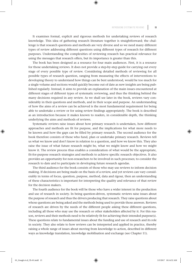It examines formal, explicit and rigorous methods for undertaking reviews of research knowledge. This idea of gathering research literature together is straightforward; the challenge is that research questions and methods are very diverse and so we need many different types of review addressing different questions using different types of research for different purposes. Understanding the complexities of reviewing research has practical relevance for using the messages that research offers, but its importance is greater than this.

⊕

The book has been designed as a resource for four main audiences. First, it is a resource for those undertaking reviews. It does not provide a step-by-step guide for carrying out every stage of every possible type of review. Considering detailed methods of reviewing for all possible types of research question, ranging from measuring the effects of interventions to developing theory to understand how things can be best understood, would be too much for a single volume and sections would quickly become out of date as new insights are being published regularly. Instead, it aims to provide an explanation of the main issues encountered at different stages of different types of systematic reviewing, and thus the thinking behind the many decisions required in any review. As we shall see later in the book, reviews vary considerably in their questions and methods, and in their scope and purpose. An understanding of how the aims of a review can be achieved is the most fundamental requirement for being able to undertake a review or for using review findings appropriately. The book is described as an introduction because it makes known to readers, in considerable depth, the thinking underlying the aims and methods of reviews.

Systematic reviews raise issues about how primary research is undertaken, how different approaches and methods are fit for purpose, and the implications for what more needs to be known and how the gaps can be filled by primary research. The second audience for the book therefore consists of those who fund, plan or undertake primary research. Reviews tell us what we know and don't know in relation to a question, and how we know this. They also raise the issue of what future research might be, what we might know and how we might know it. The review process thus enables a consideration of what would be the appropriate, fit-for-purpose research strategies and methods to achieve specific research objectives. It also provides an opportunity for non-researchers to be involved in such processes; to consider the research to date and to participate in developing future research agendas.

The third audience for the book consists of those who may use reviews to inform decision making. If decisions are being made on the basis of a review, and yet reviews can vary considerably in terms of focus, question, purpose, method, data and rigour, then an understanding of these characteristics is important for interpreting the quality and relevance of that review for the decision makers.

The fourth audience for the book will be those who have a wider interest in the production and use of research in society. In being question-driven, systematic reviews raise issues about the purpose of research and thus the drivers producing that research. They raise questions about whose questions are being asked and the methods being used to provide those answers. Reviews of research are driven by the needs of the different people asking these different questions, including all those who may use the research or other stakeholders affected by it. For this reason, reviews and their methods need to be relatively fit for achieving their intended purpose(s). These questions relate to fundamental issues about the funding and use of research and its role in society. They also relate to how reviews can be interpreted and applied in practice, thereby raising a whole range of issues about moving from knowledge to action, described in different ways as knowledge translation, knowledge mobilisation and exchange (see Chapter 11).

♠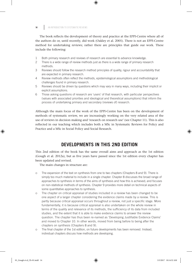The book reflects the development of theory and practice at the EPPI-Centre where all of the authors do or, until recently, did work (Oakley et al. 2005). There is not an EPPI-Centre method for undertaking reviews; rather there are principles that guide our work. These include the following:

- 1 Both primary research and reviews of research are essential to advance knowledge.
- 2 There is a wide range of review methods just as there is a wide range of primary research methods.
- 3 Reviews should follow the research method principles of quality, rigour and accountability that are expected in primary research.
- 4 Review methods often reflect the methods, epistemological assumptions and methodological challenges found in primary research.
- 5 Reviews should be driven by questions which may vary in many ways, including their implicit or explicit assumptions.
- 6 Those asking questions of research are 'users' of that research, with particular perspectives (values with associated priorities and ideological and theoretical assumptions) that inform the process of undertaking primary and secondary (reviews of) research.

Although the main focus of the work of the EPPI-Centre has been on the development of methods of systematic review, we are increasingly working on the very related area of the use of reviews in decision making and 'research on research use' (see Chapter 11). This is also reflected in our teaching which includes both a MSc in Systematic Reviews for Policy and Practice and a MSc in Social Policy and Social Research.

## **DEVELOPMENTS IN THIS 2ND EDITION**

This 2nd edition of the book has the same overall aims and approach as the 1st edition (Gough et al. 2012a), but as five years have passed since the 1st edition every chapter has been updated and revised.

The main changes in structure are:

- { The expansion of the text on synthesis from one to two chapters (Chapters 8 and 9). There is simply too much material to include in a single chapter. Chapter 8 discusses the broad range of approaches to synthesis in terms of the aims of synthesis and how this is achieved; and focuses on non-statistical methods of synthesis. Chapter 9 provides more detail on technical aspects of some quantitative approaches to synthesis.
- { The chapter on critical appraisal of studies included in a review has been changed to be one aspect of a larger chapter considering the evidence claims made by a review. This is partly because critical appraisal occurs throughout a review, not just a specific stage. More fundamentally, it is because critical appraisal is also undertaken on the whole review in terms of the quality and relevance of its methods, the sufficiency of its data from included studies, and the extent that it is able to make evidence claims to answer the review question. The chapter has thus been re-named as 'Developing Justifiable Evidence Claims' and moved to Chapter 10. In other words, moved from being before to being after the chapters on synthesis (Chapters 8 and 9).
- The final chapter of the 1st edition, on future developments has been removed. Instead, individual chapters discuss how methods are developing.

♠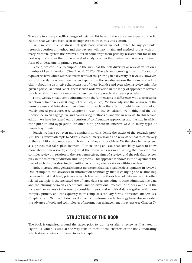There are too many specific changes of detail to list here but there are a few aspects of the 1st edition that we have been keen to emphasise more in this 2nd edition.

⊕

First, we continue to stress that systematic reviews are not limited to any particular research question or method and that reviews will vary in aim and method just as with primary research. Systematic reviews differ in some ways from primary research but for us the best way to consider them is as a level of analysis rather than being seen as a very different form of undertaking to primary research.

Second, we continue to emphasise the way that the rich diversity of reviews varies on a number of key dimensions (Gough et al. 2012b). There is an increasing growth of brands of types of reviews which we welcome in terms of the growing rich diversity of reviews. However, without specifying where these review types sit on the key dimensions there can be a lack of clarity about the distinctive characteristics of these 'brands'; and even when a review might be given a particular brand 'label', there is such wide variation in the range of approaches covered by a label, that it does not necessarily describe the approach taken very precisely.

Third, we have made some adjustments to the 'dimensions of difference' we use to describe variation between reviews (Gough et al. 2012a, 2012b). We have adjusted the language of the terms we use and introduced new dimensions such as the extent to which methods adopt widely agreed procedures (see Chapter 3). Also, in the 1st edition, we highlighted the distinction between aggregative and configuring methods of analysis in reviews. In this second edition, we have increased our discussion of configurative approaches and the way in which configuration and aggregation are often both present in different ways in many types of research synthesis.

Fourth, we have put even more emphasis on considering the extent of the 'research problem' that a review attempts to address. Both primary research and reviews of that research vary in their ambition and resources and how much they aim to achieve. We therefore frame reviews as a process that takes place between: (i) there being an issue that somebody wants to know more about from research; and (ii) what the review achieves in answering that question. We consider reviews in relation to the user perspectives, aims of a review, and the role that reviews play in the research production and use process. This approach is shown in the diagrams at the start of each chapter showing its position as prior to, after, or stages within a review.

Fifth, there are some general changes in research that have parallel developments in reviews. One example is the advances in information technology that is changing the relationship between individual level, primary research level and synthesis level of data analysis. Another related example is the increased use of large data sets including routine administrative data and the blurring between experimental and observational research. Another example is the increased awareness of the need to consider theory and empirical data together with more complex primary and consequently more complex secondary forms of research analysis (see Chapters 8 and 9). In addition, developments in information technology have also supported the advance of tools and technologies of information management in reviews (see Chapter 7).

## **STRUCTURE OF THE BOOK**

The book is organised around the stages prior to, during or after a review as illustrated in Figure 1.1 which is used at the very start of most of the chapters of the book (indicating which stage is being considered in each chapter).

01\_Gough et al\_Ch-01.indd 15 3/3/2017 10:14:52 AM

♠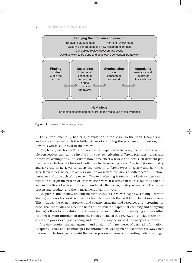

 $\bigoplus$ 

**Figure 1.1** Stages of the review process

The current chapter (Chapter 1) provides an introduction to the book. Chapters 2, 3 and 4 are concerned with the initial stages of clarifying the problem and question, and how this will be addressed in the review.

Chapter 2 (Stakeholder Perspectives and Participation in Reviews) focuses on the multiple perspectives that can be involved in a review reflecting different priorities, values and theoretical assumptions. It discusses how these effect a review and how such different perspectives can be brought into and participate in the review process. Chapter 3 (Commonality and Diversity in Reviews) considers the range of different types of review and how they vary. It examines the nature of this variation on such 'dimensions of difference' as structure, resources and approach of the review. Chapter 4 (Getting Started with a Review) then examines how to begin the process of a systematic review. It discusses in more detail the choice of aim and method of review, the team to undertake the review, quality assurance of the review process and product, and the management of all this work.

Chapters 5 and 6 follow on with the next stages of a review. Chapter 5 (Finding Relevant Studies) explores the work required to find the research that will be included in a review. This includes the overall approach and specific strategies and resources and 'screening' to check that the studies do meet the needs of the review. Chapter 6 (Describing and Analysing Studies) follows by explaining the different aims and methods of identifying and recording (coding) relevant information from the studies included in a review. This includes the principles and processes of good coding and how these vary between different types of review.

A review requires the management and analysis of many pieces of detailed information. Chapter 7 (Tools and Technologies for Information Management) examines the ways that information technology can assist the review process in terms of supporting individual stages

01\_Gough et al\_Ch-01.indd 16 3/3/2017 10:14:52 AM

⊕